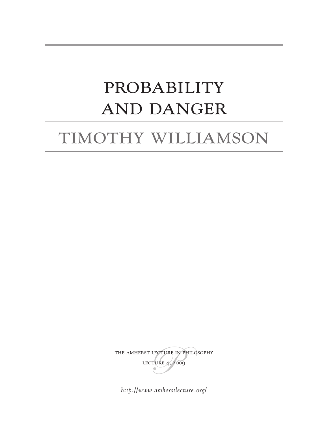# **PROBABILITY** and Danger

# timothy williamson

THE AMHERST LECTURE IN PHILOSOPHY lecture 4, 2009

*<http://www.amherstlecture.org/>*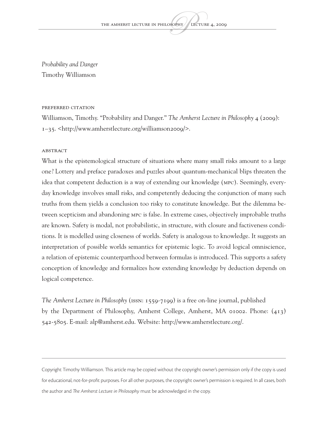*Probability and Danger* Timothy Williamson

#### Preferred citation

Williamson, Timothy. "Probability and Danger." *The Amherst Lecture in Philosophy* 4 (2009): 1–35. [<http://www.amherstlecture.org/williamson2009/](http://www.amherstlecture.org/williamson2009/)>.

#### **ABSTRACT**

What is the epistemological structure of situations where many small risks amount to a large one? Lottery and preface paradoxes and puzzles about quantum-mechanical blips threaten the idea that competent deduction is a way of extending our knowledge (MPC). Seemingly, everyday knowledge involves small risks, and competently deducing the conjunction of many such truths from them yields a conclusion too risky to constitute knowledge. But the dilemma between scepticism and abandoning MPC is false. In extreme cases, objectively improbable truths are known. Safety is modal, not probabilistic, in structure, with closure and factiveness conditions. It is modelled using closeness of worlds. Safety is analogous to knowledge. It suggests an interpretation of possible worlds semantics for epistemic logic. To avoid logical omniscience, a relation of epistemic counterparthood between formulas is introduced. This supports a safety conception of knowledge and formalizes how extending knowledge by deduction depends on logical competence.

*The Amherst Lecture in Philosophy* (ISSN: 1559-7199) is a free on-line journal, published by the Department of Philosophy, Amherst College, Amherst, MA 01002. Phone: (413) 542-5805. E-mail: [alp@amherst.edu.](mailto:alp@amherst.edu) Website: <http://www.amherstlecture.org/>.

Copyright Timothy Williamson. This article may be copied without the copyright owner's permission only if the copy is used for educational, not-for-profit purposes. For all other purposes, the copyright owner's permission is required. In all cases, both the author and *The Amherst Lecture in Philosophy* must be acknowledged in the copy.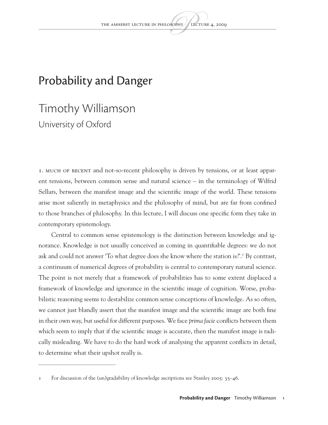### Probability and Danger

## Timothy Williamson University of Oxford

1. Much of recent and not-so-recent philosophy is driven by tensions, or at least apparent tensions, between common sense and natural science – in the terminology of Wilfrid Sellars, between the manifest image and the scientific image of the world. These tensions arise most saliently in metaphysics and the philosophy of mind, but are far from confined to those branches of philosophy. In this lecture, I will discuss one specific form they take in contemporary epistemology.

Central to common sense epistemology is the distinction between knowledge and ignorance. Knowledge is not usually conceived as coming in quantifiable degrees: we do not ask and could not answer 'To what degree does she know where the station is?'.1 By contrast, a continuum of numerical degrees of probability is central to contemporary natural science. The point is not merely that a framework of probabilities has to some extent displaced a framework of knowledge and ignorance in the scientific image of cognition. Worse, probabilistic reasoning seems to destabilize common sense conceptions of knowledge. As so often, we cannot just blandly assert that the manifest image and the scientific image are both fine in their own way, but useful for different purposes. We face *prima facie* conflicts between them which seem to imply that if the scientific image is accurate, then the manifest image is radically misleading. We have to do the hard work of analysing the apparent conflicts in detail, to determine what their upshot really is.

<sup>1</sup> For discussion of the (un)gradability of knowledge ascriptions see Stanley 2005: 35–46.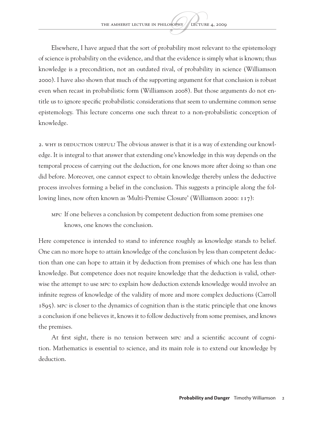Elsewhere, I have argued that the sort of probability most relevant to the epistemology of science is probability on the evidence, and that the evidence is simply what is known; thus knowledge is a precondition, not an outdated rival, of probability in science (Williamson 2000). I have also shown that much of the supporting argument for that conclusion is robust even when recast in probabilistic form (Williamson 2008). But those arguments do not entitle us to ignore specific probabilistic considerations that seem to undermine common sense epistemology. This lecture concerns one such threat to a non-probabilistic conception of knowledge.

2. WHY IS DEDUCTION USEFUL? The obvious answer is that it is a way of extending our knowledge. It is integral to that answer that extending one's knowledge in this way depends on the temporal process of carrying out the deduction, for one knows more after doing so than one did before. Moreover, one cannot expect to obtain knowledge thereby unless the deductive process involves forming a belief in the conclusion. This suggests a principle along the following lines, now often known as 'Multi-Premise Closure' (Williamson 2000: 117):

MPC If one believes a conclusion by competent deduction from some premises one knows, one knows the conclusion.

Here competence is intended to stand to inference roughly as knowledge stands to belief. One can no more hope to attain knowledge of the conclusion by less than competent deduction than one can hope to attain it by deduction from premises of which one has less than knowledge. But competence does not require knowledge that the deduction is valid, otherwise the attempt to use MPC to explain how deduction extends knowledge would involve an infinite regress of knowledge of the validity of more and more complex deductions (Carroll 1895). MPC is closer to the dynamics of cognition than is the static principle that one knows a conclusion if one believes it, knows it to follow deductively from some premises, and knows the premises.

At first sight, there is no tension between MPC and a scientific account of cognition. Mathematics is essential to science, and its main role is to extend our knowledge by deduction.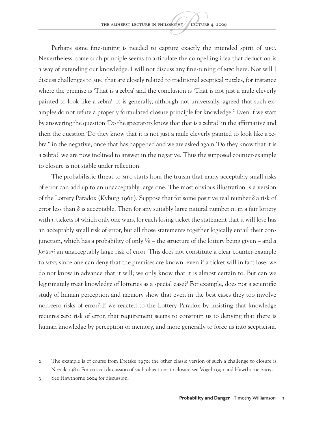Perhaps some fine-tuning is needed to capture exactly the intended spirit of MPC. Nevertheless, some such principle seems to articulate the compelling idea that deduction is a way of extending our knowledge. I will not discuss any fine-tuning of MPC here. Nor will I discuss challenges to MPC that are closely related to traditional sceptical puzzles, for instance where the premise is 'That is a zebra' and the conclusion is 'That is not just a mule cleverly painted to look like a zebra'. It is generally, although not universally, agreed that such examples do not refute a properly formulated closure principle for knowledge.<sup>2</sup> Even if we start by answering the question 'Do the spectators know that that is a zebra?' in the affirmative and then the question 'Do they know that it is not just a mule cleverly painted to look like a zebra?' in the negative, once that has happened and we are asked again 'Do they know that it is a zebra?' we are now inclined to answer in the negative. Thus the supposed counter-example to closure is not stable under reflection.

The probabilistic threat to MPC starts from the truism that many acceptably small risks of error can add up to an unacceptably large one. The most obvious illustration is a version of the Lottery Paradox (Kyburg 1961). Suppose that for some positive real number δ a risk of error less than δ is acceptable. Then for any suitably large natural number *n*, in a fair lottery with *n* tickets of which only one wins, for each losing ticket the statement that it will lose has an acceptably small risk of error, but all those statements together logically entail their conjunction, which has a probability of only  $\frac{1}{n}$  – the structure of the lottery being given – and *a fortiori* an unacceptably large risk of error. This does not constitute a clear counter-example to MPC, since one can deny that the premises are known: even if a ticket will in fact lose, we do not know in advance that it will; we only know that it is almost certain to. But can we legitimately treat knowledge of lotteries as a special case?3 For example, does not a scientific study of human perception and memory show that even in the best cases they too involve non-zero risks of error? If we reacted to the Lottery Paradox by insisting that knowledge requires zero risk of error, that requirement seems to constrain us to denying that there is human knowledge by perception or memory, and more generally to force us into scepticism.

<sup>2</sup> The example is of course from Dretske 1970; the other classic version of such a challenge to closure is Nozick 1981. For critical discussion of such objections to closure see Vogel 1990 and Hawthorne 2005.

<sup>3</sup> See Hawthorne 2004 for discussion.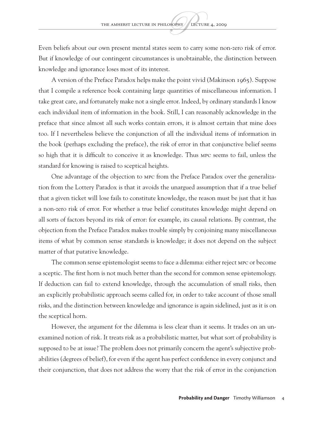Even beliefs about our own present mental states seem to carry some non-zero risk of error. But if knowledge of our contingent circumstances is unobtainable, the distinction between knowledge and ignorance loses most of its interest.

A version of the Preface Paradox helps make the point vivid (Makinson 1965). Suppose that I compile a reference book containing large quantities of miscellaneous information. I take great care, and fortunately make not a single error. Indeed, by ordinary standards I know each individual item of information in the book. Still, I can reasonably acknowledge in the preface that since almost all such works contain errors, it is almost certain that mine does too. If I nevertheless believe the conjunction of all the individual items of information in the book (perhaps excluding the preface), the risk of error in that conjunctive belief seems so high that it is difficult to conceive it as knowledge. Thus MPC seems to fail, unless the standard for knowing is raised to sceptical heights.

One advantage of the objection to MPC from the Preface Paradox over the generalization from the Lottery Paradox is that it avoids the unargued assumption that if a true belief that a given ticket will lose fails to constitute knowledge, the reason must be just that it has a non-zero risk of error. For whether a true belief constitutes knowledge might depend on all sorts of factors beyond its risk of error: for example, its causal relations. By contrast, the objection from the Preface Paradox makes trouble simply by conjoining many miscellaneous items of what by common sense standards is knowledge; it does not depend on the subject matter of that putative knowledge.

The common sense epistemologist seems to face a dilemma: either reject MPC or become a sceptic. The first horn is not much better than the second for common sense epistemology. If deduction can fail to extend knowledge, through the accumulation of small risks, then an explicitly probabilistic approach seems called for, in order to take account of those small risks, and the distinction between knowledge and ignorance is again sidelined, just as it is on the sceptical horn.

However, the argument for the dilemma is less clear than it seems. It trades on an unexamined notion of risk. It treats risk as a probabilistic matter, but what sort of probability is supposed to be at issue? The problem does not primarily concern the agent's subjective probabilities (degrees of belief), for even if the agent has perfect confidence in every conjunct and their conjunction, that does not address the worry that the risk of error in the conjunction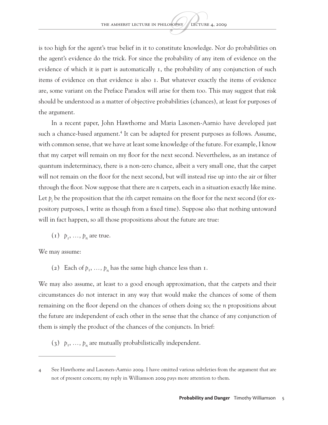is too high for the agent's true belief in it to constitute knowledge. Nor do probabilities on the agent's evidence do the trick. For since the probability of any item of evidence on the evidence of which it is part is automatically 1, the probability of any conjunction of such items of evidence on that evidence is also 1. But whatever exactly the items of evidence are, some variant on the Preface Paradox will arise for them too. This may suggest that risk should be understood as a matter of objective probabilities (chances), at least for purposes of the argument.

In a recent paper, John Hawthorne and Maria Lasonen-Aarnio have developed just such a chance-based argument.<sup>4</sup> It can be adapted for present purposes as follows. Assume, with common sense, that we have at least some knowledge of the future. For example, I know that my carpet will remain on my floor for the next second. Nevertheless, as an instance of quantum indeterminacy, there is a non-zero chance, albeit a very small one, that the carpet will not remain on the floor for the next second, but will instead rise up into the air or filter through the floor. Now suppose that there are *n* carpets, each in a situation exactly like mine. Let  $p_i$  be the proposition that the *i*th carpet remains on the floor for the next second (for expository purposes, I write as though from a fixed time). Suppose also that nothing untoward will in fact happen, so all those propositions about the future are true:

 $(p_1, \ldots, p_n)$  are true.

We may assume:

(2) Each of  $p_1$ ,  $\ldots$ ,  $p_n$  has the same high chance less than 1.

We may also assume, at least to a good enough approximation, that the carpets and their circumstances do not interact in any way that would make the chances of some of them remaining on the floor depend on the chances of others doing so; the *n* propositions about the future are independent of each other in the sense that the chance of any conjunction of them is simply the product of the chances of the conjuncts. In brief:

(3)  $p_1, \ldots, p_n$  are mutually probabilistically independent.

<sup>4</sup> See Hawthorne and Lasonen-Aarnio 2009. I have omitted various subtleties from the argument that are not of present concern; my reply in Williamson 2009 pays more attention to them.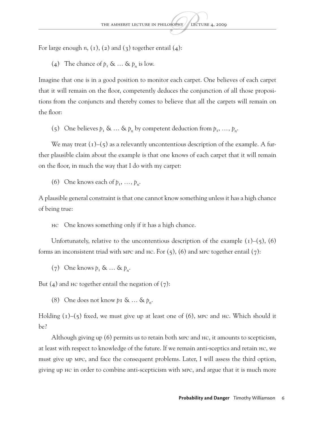For large enough  $n$ ,  $(1)$ ,  $(2)$  and  $(3)$  together entail  $(4)$ :

(4) The chance of  $p_1 \& \dots \& p_n$  is low.

Imagine that one is in a good position to monitor each carpet. One believes of each carpet that it will remain on the floor, competently deduces the conjunction of all those propositions from the conjuncts and thereby comes to believe that all the carpets will remain on the floor:

(5) One believes  $p_1 \& ... \& p_n$  by competent deduction from  $p_1, ..., p_n$ .

We may treat  $(1)$ – $(5)$  as a relevantly uncontentious description of the example. A further plausible claim about the example is that one knows of each carpet that it will remain on the floor, in much the way that I do with my carpet:

(6) One knows each of  $p_1, \ldots, p_n$ .

A plausible general constraint is that one cannot know something unless it has a high chance of being true:

HC One knows something only if it has a high chance.

Unfortunately, relative to the uncontentious description of the example  $(1)$ – $(5)$ ,  $(6)$ forms an inconsistent triad with MPC and HC. For  $(5)$ ,  $(6)$  and MPC together entail  $(7)$ :

 $(7)$  One knows  $p_1 \& \dots \& p_n$ .

But  $(4)$  and HC together entail the negation of  $(7)$ :

(8) One does not know  $p_1 \& \dots \& p_n$ .

Holding  $(1)$ – $(5)$  fixed, we must give up at least one of  $(6)$ , MPC and HC. Which should it be?

Although giving up (6) permits us to retain both MPC and HC, it amounts to scepticism, at least with respect to knowledge of the future. If we remain anti-sceptics and retain HC, we must give up MPC, and face the consequent problems. Later, I will assess the third option, giving up HC in order to combine anti-scepticism with MPC, and argue that it is much more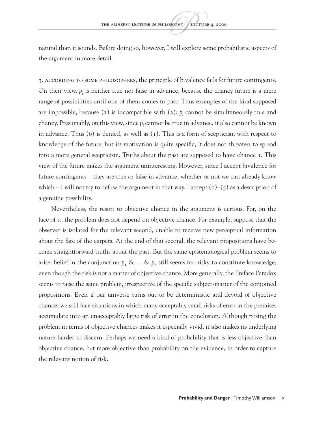natural than it sounds. Before doing so, however, I will explore some probabilistic aspects of the argument in more detail.

3. According to some philosophers, the principle of bivalence fails for future contingents. On their view,  $p_i$  is neither true nor false in advance, because the chancy future is a mere range of possibilities until one of them comes to pass. Thus examples of the kind supposed are impossible, because  $(1)$  is incompatible with  $(2)$ :  $p<sub>i</sub>$  cannot be simultaneously true and chancy. Presumably, on this view, since  $p_i$  cannot be true in advance, it also cannot be known in advance. Thus (6) is denied, as well as (1). This is a form of scepticism with respect to knowledge of the future, but its motivation is quite specific; it does not threaten to spread into a more general scepticism. Truths about the past are supposed to have chance 1. This view of the future makes the argument uninteresting. However, since I accept bivalence for future contingents – they are true or false in advance, whether or not we can already know which – I will not try to defuse the argument in that way. I accept  $(1)-(5)$  as a description of a genuine possibility.

Nevertheless, the resort to objective chance in the argument is curious. For, on the face of it, the problem does not depend on objective chance. For example, suppose that the observer is isolated for the relevant second, unable to receive new perceptual information about the fate of the carpets. At the end of that second, the relevant propositions have become straightforward truths about the past. But the same epistemological problem seems to arise: belief in the conjunction  $p_1 \& \dots \& p_n$  still seems too risky to constitute knowledge, even though the risk is not a matter of objective chance. More generally, the Preface Paradox seems to raise the same problem, irrespective of the specific subject-matter of the conjoined propositions. Even if our universe turns out to be deterministic and devoid of objective chance, we still face situations in which many acceptably small risks of error in the premises accumulate into an unacceptably large risk of error in the conclusion. Although posing the problem in terms of objective chances makes it especially vivid, it also makes its underlying nature harder to discern. Perhaps we need a kind of probability that is less objective than objective chance, but more objective than probability on the evidence, in order to capture the relevant notion of risk.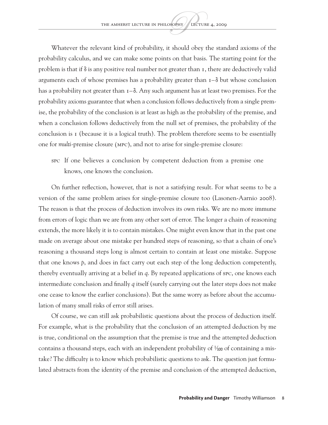Whatever the relevant kind of probability, it should obey the standard axioms of the probability calculus, and we can make some points on that basis. The starting point for the problem is that if  $\delta$  is any positive real number not greater than 1, there are deductively valid arguments each of whose premises has a probability greater than  $I - \delta$  but whose conclusion has a probability not greater than 1–δ. Any such argument has at least two premises. For the probability axioms guarantee that when a conclusion follows deductively from a single premise, the probability of the conclusion is at least as high as the probability of the premise, and when a conclusion follows deductively from the null set of premises, the probability of the conclusion is 1 (because it is a logical truth). The problem therefore seems to be essentially one for *multi*-premise closure (MPC), and not to arise for single-premise closure:

SPC If one believes a conclusion by competent deduction from a premise one knows, one knows the conclusion.

On further reflection, however, that is not a satisfying result. For what seems to be a version of the same problem arises for single-premise closure too (Lasonen-Aarnio 2008). The reason is that the process of deduction involves its own risks. We are no more immune from errors of logic than we are from any other sort of error. The longer a chain of reasoning extends, the more likely it is to contain mistakes. One might even know that in the past one made on average about one mistake per hundred steps of reasoning, so that a chain of one's reasoning a thousand steps long is almost certain to contain at least one mistake. Suppose that one knows *p*, and does in fact carry out each step of the long deduction competently, thereby eventually arriving at a belief in *q*. By repeated applications of SPC, one knows each intermediate conclusion and finally *q* itself (surely carrying out the later steps does not make one cease to know the earlier conclusions). But the same worry as before about the accumulation of many small risks of error still arises.

Of course, we can still ask probabilistic questions about the process of deduction itself. For example, what is the probability that the conclusion of an attempted deduction by me is true, conditional on the assumption that the premise is true and the attempted deduction contains a thousand steps, each with an independent probability of  $\frac{1}{100}$  of containing a mistake? The difficulty is to know which probabilistic questions to ask. The question just formulated abstracts from the identity of the premise and conclusion of the attempted deduction,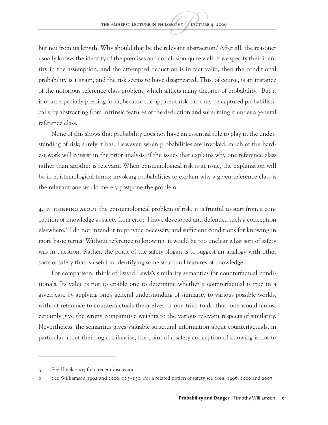but not from its length. Why should that be the relevant abstraction? After all, the reasoner usually knows the identity of the premises and conclusion quite well. If we specify their identity in the assumption, and the attempted deduction is in fact valid, then the conditional probability is 1 again, and the risk seems to have disappeared. This, of course, is an instance of the notorious reference class problem, which afflicts many theories of probability.<sup>5</sup> But it is of an especially pressing form, because the apparent risk can only be captured probabilistically by abstracting from intrinsic features of the deduction and subsuming it under a general reference class.

None of this shows that probability does not have an essential role to play in the understanding of risk; surely it has. However, when probabilities are invoked, much of the hardest work will consist in the prior analysis of the issues that explains why one reference class rather than another is relevant. When epistemological risk is at issue, the explanation will be in epistemological terms; invoking probabilities to explain why a given reference class is the relevant one would merely postpone the problem.

4. In thinking about the epistemological problem of risk, it is fruitful to start from a conception of knowledge as safety from error. I have developed and defended such a conception elsewhere.<sup>6</sup> I do not intend it to provide necessary and sufficient conditions for knowing in more basic terms. Without reference to knowing, it would be too unclear what sort of safety was in question. Rather, the point of the safety slogan is to suggest an analogy with other sorts of safety that is useful in identifying some structural features of knowledge.

For comparison, think of David Lewis's similarity semantics for counterfactual conditionals. Its value is not to enable one to determine whether a counterfactual is true in a given case by applying one's general understanding of similarity to various possible worlds, without reference to counterfactuals themselves. If one tried to do that, one would almost certainly give the wrong comparative weights to the various relevant respects of similarity. Nevertheless, the semantics gives valuable structural information about counterfactuals, in particular about their logic. Likewise, the point of a safety conception of knowing is not to

<sup>5</sup> See Hájek 2007 for a recent discussion.

<sup>6</sup> See Williamson 1992 and 2000: 123–130. For a related notion of safety see Sosa: 1996, 2000 and 2007.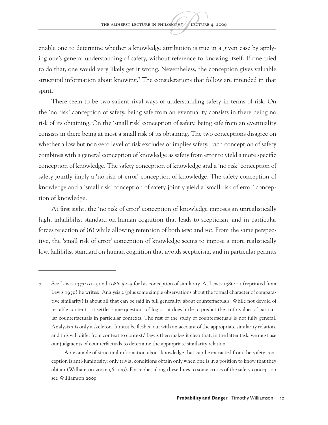enable one to determine whether a knowledge attribution is true in a given case by applying one's general understanding of safety, without reference to knowing itself. If one tried to do that, one would very likely get it wrong. Nevertheless, the conception gives valuable structural information about knowing.<sup>7</sup> The considerations that follow are intended in that spirit.

There seem to be two salient rival ways of understanding safety in terms of risk. On the 'no risk' conception of safety, being safe from an eventuality consists in there being no risk of its obtaining. On the 'small risk' conception of safety, being safe from an eventuality consists in there being at most a small risk of its obtaining. The two conceptions disagree on whether a low but non-zero level of risk excludes or implies safety. Each conception of safety combines with a general conception of knowledge as safety from error to yield a more specific conception of knowledge. The safety conception of knowledge and a 'no risk' conception of safety jointly imply a 'no risk of error' conception of knowledge. The safety conception of knowledge and a 'small risk' conception of safety jointly yield a 'small risk of error' conception of knowledge.

At first sight, the 'no risk of error' conception of knowledge imposes an unrealistically high, infallibilist standard on human cognition that leads to scepticism, and in particular forces rejection of (6) while allowing retention of both MPC and HC. From the same perspective, the 'small risk of error' conception of knowledge seems to impose a more realistically low, fallibilist standard on human cognition that avoids scepticism, and in particular permits

<sup>7</sup> See Lewis 1973: 91–5 and 1986: 52–5 for his conception of similarity. At Lewis 1986: 41 (reprinted from Lewis 1979) he writes: 'Analysis 2 (plus some simple observations about the formal character of comparative similarity) is about all that can be said in full generality about counterfactuals. While not devoid of testable content – it settles some questions of logic – it does little to predict the truth values of particular counterfactuals in particular contexts. The rest of the study of counterfactuals is not fully general. Analysis 2 is only a skeleton. It must be fleshed out with an account of the appropriate similarity relation, and this will differ from context to context.' Lewis then makes it clear that, in the latter task, we must use our judgments of counterfactuals to determine the appropriate similarity relation.

An example of structural information about knowledge that can be extracted from the safety conception is anti-luminosity: only trivial conditions obtain only when one is in a position to know that they obtain (Williamson 2000: 96–109). For replies along these lines to some critics of the safety conception see Williamson 2009.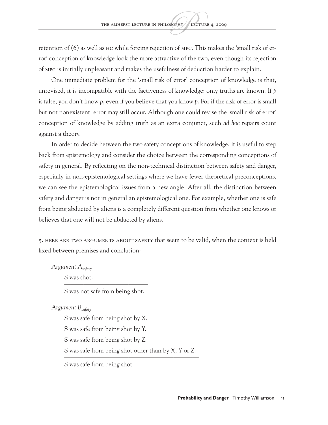retention of (6) as well as HC while forcing rejection of MPC. This makes the 'small risk of error' conception of knowledge look the more attractive of the two, even though its rejection of MPC is initially unpleasant and makes the usefulness of deduction harder to explain.

One immediate problem for the 'small risk of error' conception of knowledge is that, unrevised, it is incompatible with the factiveness of knowledge: only truths are known. If *p* is false, you don't know *p*, even if you believe that you know *p*. For if the risk of error is small but not nonexistent, error may still occur. Although one could revise the 'small risk of error' conception of knowledge by adding truth as an extra conjunct, such *ad hoc* repairs count against a theory.

In order to decide between the two safety conceptions of knowledge, it is useful to step back from epistemology and consider the choice between the corresponding conceptions of safety in general. By reflecting on the non-technical distinction between safety and danger, especially in non-epistemological settings where we have fewer theoretical preconceptions, we can see the epistemological issues from a new angle. After all, the distinction between safety and danger is not in general an epistemological one. For example, whether one is safe from being abducted by aliens is a completely different question from whether one knows or believes that one will not be abducted by aliens.

5. Here are two arguments about safety that seem to be valid, when the context is held fixed between premises and conclusion:

*Argument Asafety*

S was shot. —————————————

S was not safe from being shot.

*Argument Bsafety*

S was safe from being shot by X.

S was safe from being shot by Y.

S was safe from being shot by Z.

S was safe from being shot other than by X, Y or Z. —————————————————————

S was safe from being shot.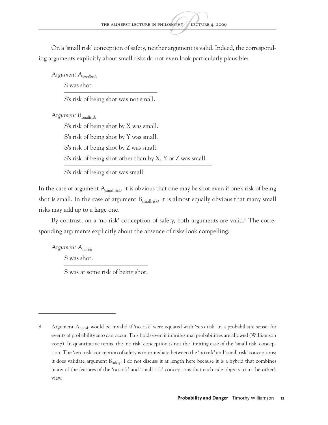On a 'small risk' conception of safety, neither argument is valid. Indeed, the corresponding arguments explicitly about small risks do not even look particularly plausible:

*Argument Asmallrisk*

S was shot. —–—————————————

S's risk of being shot was not small.

*Argument Bsmallrisk*

S's risk of being shot by X was small.

S's risk of being shot by Y was small.

S's risk of being shot by Z was small.

S's risk of being shot other than by X, Y or Z was small. ———————————————————————

S's risk of being shot was small.

In the case of argument  $A_{\text{smallrisk}}$ , it is obvious that one may be shot even if one's risk of being shot is small. In the case of argument  $B_{smallrisk}$ , it is almost equally obvious that many small risks may add up to a large one.

By contrast, on a 'no risk' conception of safety, both arguments are valid.<sup>8</sup> The corresponding arguments explicitly about the absence of risks look compelling:

*Argument Anorisk* S was shot.

> ————————————— S was at some risk of being shot.

<sup>8</sup> Argument Anorisk would be invalid if 'no risk' were equated with 'zero risk' in a probabilistic sense, for events of probability zero can occur. This holds even if infinitesimal probabilities are allowed (Williamson 2007). In quantitative terms, the 'no risk' conception is not the limiting case of the 'small risk' conception. The 'zero risk' conception of safety is intermediate between the 'no risk' and 'small risk' conceptions; it does validate argument B<sub>safety</sub>. I do not discuss it at length here because it is a hybrid that combines many of the features of the 'no risk' and 'small risk' conceptions that each side objects to in the other's view.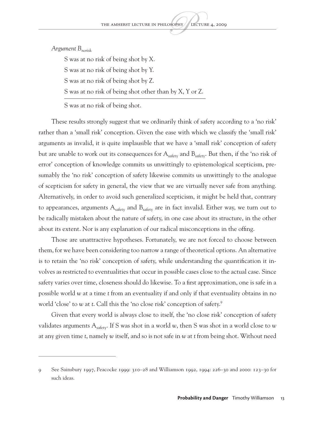*Argument Bnorisk*

S was at no risk of being shot by X.

S was at no risk of being shot by Y.

S was at no risk of being shot by Z.

S was at no risk of being shot other than by X, Y or Z. ——————————————————————

S was at no risk of being shot.

These results strongly suggest that we ordinarily think of safety according to a 'no risk' rather than a 'small risk' conception. Given the ease with which we classify the 'small risk' arguments as invalid, it is quite implausible that we have a 'small risk' conception of safety but are unable to work out its consequences for  $A_{\text{safety}}$  and  $B_{\text{safety}}$ . But then, if the 'no risk of error' conception of knowledge commits us unwittingly to epistemological scepticism, presumably the 'no risk' conception of safety likewise commits us unwittingly to the analogue of scepticism for safety in general, the view that we are virtually never safe from anything. Alternatively, in order to avoid such generalized scepticism, it might be held that, contrary to appearances, arguments  $A_{\text{safety}}$  and  $B_{\text{safety}}$  are in fact invalid. Either way, we turn out to be radically mistaken about the nature of safety, in one case about its structure, in the other about its extent. Nor is any explanation of our radical misconceptions in the offing.

Those are unattractive hypotheses. Fortunately, we are not forced to choose between them, for we have been considering too narrow a range of theoretical options. An alternative is to retain the 'no risk' conception of safety, while understanding the quantification it involves as restricted to eventualities that occur in possible cases close to the actual case. Since safety varies over time, closeness should do likewise. To a first approximation, one is safe in a possible world *w* at a time *t* from an eventuality if and only if that eventuality obtains in no world 'close' to *w* at *t*. Call this the 'no close risk' conception of safety.9

Given that every world is always close to itself, the 'no close risk' conception of safety validates arguments Asafety. If S was shot in a world *w*, then S was shot in a world close to *w* at any given time *t*, namely *w* itself, and so is not safe in *w* at *t* from being shot. Without need

<sup>9</sup> See Sainsbury 1997, Peacocke 1999: 310–28 and Williamson 1992, 1994: 226–30 and 2000: 123–30 for such ideas.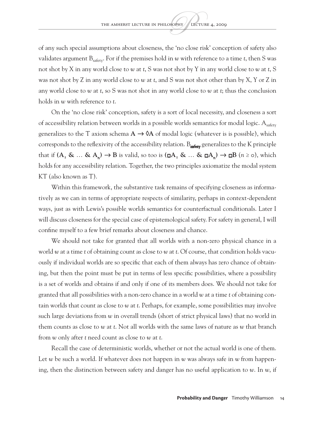of any such special assumptions about closeness, the 'no close risk' conception of safety also validates argument  $B_{\text{safe}}$ . For if the premises hold in *w* with reference to a time *t*, then S was not shot by X in any world close to *w* at *t*, S was not shot by Y in any world close to *w* at *t*, S was not shot by Z in any world close to *w* at *t*, and S was not shot other than by X, Y or Z in any world close to *w* at *t*, so S was not shot in any world close to *w* at *t*; thus the conclusion holds in *w* with reference to *t*.

On the 'no close risk' conception, safety is a sort of local necessity, and closeness a sort of accessibility relation between worlds in a possible worlds semantics for modal logic.  $A_{\text{safety}}$ generalizes to the T axiom schema  $A \rightarrow \emptyset A$  of modal logic (whatever is is possible), which corresponds to the reflexivity of the accessibility relation.  $B_{\text{safety}}$  generalizes to the K principle **that if**  $(A_1 \& ... \& A_n)$  **→ <b>B** is valid, so too is  $(\Box A_1 \& ... \& \Box A_n)$  →  $\Box B$  ( $n \ge 0$ ), which holds for any accessibility relation. Together, the two principles axiomatize the modal system KT (also known as T).

Within this framework, the substantive task remains of specifying closeness as informatively as we can in terms of appropriate respects of similarity, perhaps in context-dependent ways, just as with Lewis's possible worlds semantics for counterfactual conditionals. Later I will discuss closeness for the special case of epistemological safety. For safety in general, I will confine myself to a few brief remarks about closeness and chance.

We should not take for granted that all worlds with a non-zero physical chance in a world *w* at a time *t* of obtaining count as close to *w* at *t*. Of course, that condition holds vacuously if individual worlds are so specific that each of them always has zero chance of obtaining, but then the point must be put in terms of less specific possibilities, where a possibility is a set of worlds and obtains if and only if one of its members does. We should not take for granted that all possibilities with a non-zero chance in a world *w* at a time *t* of obtaining contain worlds that count as close to *w* at *t*. Perhaps, for example, some possibilities may involve such large deviations from *w* in overall trends (short of strict physical laws) that no world in them counts as close to *w* at *t*. Not all worlds with the same laws of nature as *w* that branch from *w* only after *t* need count as close to *w* at *t*.

Recall the case of deterministic worlds, whether or not the actual world is one of them. Let *w* be such a world. If whatever does not happen in *w* was always safe in *w* from happening, then the distinction between safety and danger has no useful application to *w*. In *w*, if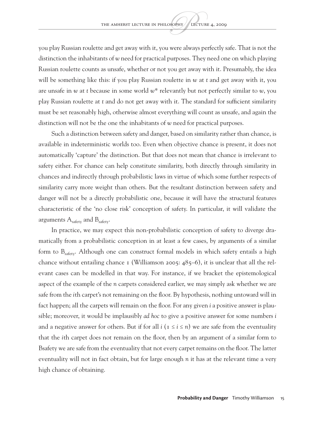you play Russian roulette and get away with it, you were always perfectly safe. That is not the distinction the inhabitants of *w* need for practical purposes. They need one on which playing Russian roulette counts as unsafe, whether or not you get away with it. Presumably, the idea will be something like this: if you play Russian roulette in *w* at *t* and get away with it, you are unsafe in *w* at *t* because in some world *w*\* relevantly but not perfectly similar to *w*, you play Russian roulette at *t* and do not get away with it. The standard for sufficient similarity must be set reasonably high, otherwise almost everything will count as unsafe, and again the distinction will not be the one the inhabitants of *w* need for practical purposes.

Such a distinction between safety and danger, based on similarity rather than chance, is available in indeterministic worlds too. Even when objective chance is present, it does not automatically 'capture' the distinction. But that does not mean that chance is irrelevant to safety either. For chance can help constitute similarity, both directly through similarity in chances and indirectly through probabilistic laws in virtue of which some further respects of similarity carry more weight than others. But the resultant distinction between safety and danger will not be a directly probabilistic one, because it will have the structural features characteristic of the 'no close risk' conception of safety. In particular, it will validate the arguments  $A_{\text{safe}}$  and  $B_{\text{safe}}$ .

In practice, we may expect this non-probabilistic conception of safety to diverge dramatically from a probabilistic conception in at least a few cases, by arguments of a similar form to  $B_{\text{safe}}$ . Although one can construct formal models in which safety entails a high chance without entailing chance 1 (Williamson 2005:  $485-6$ ), it is unclear that all the relevant cases can be modelled in that way. For instance, if we bracket the epistemological aspect of the example of the *n* carpets considered earlier, we may simply ask whether we are safe from the *i*th carpet's not remaining on the floor. By hypothesis, nothing untoward will in fact happen; all the carpets will remain on the floor. For any given *i* a positive answer is plausible; moreover, it would be implausibly *ad hoc* to give a positive answer for some numbers *i*  and a negative answer for others. But if for all  $i$  ( $1 \le i \le n$ ) we are safe from the eventuality that the *i*th carpet does not remain on the floor, then by an argument of a similar form to Bsafety we are safe from the eventuality that not every carpet remains on the floor. The latter eventuality will not in fact obtain, but for large enough *n* it has at the relevant time a very high chance of obtaining.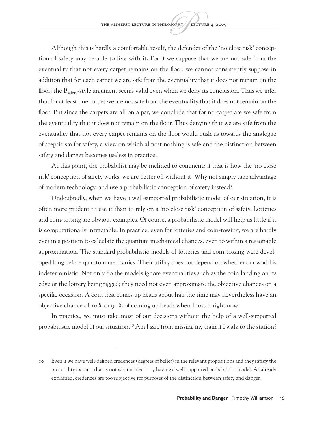Although this is hardly a comfortable result, the defender of the 'no close risk' conception of safety may be able to live with it. For if we suppose that we are not safe from the eventuality that not every carpet remains on the floor, we cannot consistently suppose in addition that for each carpet we are safe from the eventuality that it does not remain on the floor; the  $B_{\text{safe}}$ -style argument seems valid even when we deny its conclusion. Thus we infer that for at least one carpet we are not safe from the eventuality that it does not remain on the floor. But since the carpets are all on a par, we conclude that for no carpet are we safe from the eventuality that it does not remain on the floor. Thus denying that we are safe from the eventuality that not every carpet remains on the floor would push us towards the analogue of scepticism for safety, a view on which almost nothing is safe and the distinction between safety and danger becomes useless in practice.

At this point, the probabilist may be inclined to comment: if that is how the 'no close risk' conception of safety works, we are better off without it. Why not simply take advantage of modern technology, and use a probabilistic conception of safety instead?

Undoubtedly, when we have a well-supported probabilistic model of our situation, it is often more prudent to use it than to rely on a 'no close risk' conception of safety. Lotteries and coin-tossing are obvious examples. Of course, a probabilistic model will help us little if it is computationally intractable. In practice, even for lotteries and coin-tossing, we are hardly ever in a position to calculate the quantum mechanical chances, even to within a reasonable approximation. The standard probabilistic models of lotteries and coin-tossing were developed long before quantum mechanics. Their utility does not depend on whether our world is indeterministic. Not only do the models ignore eventualities such as the coin landing on its edge or the lottery being rigged; they need not even approximate the objective chances on a specific occasion. A coin that comes up heads about half the time may nevertheless have an objective chance of 10% or 90% of coming up heads when I toss it right now.

In practice, we must take most of our decisions without the help of a well-supported probabilistic model of our situation.<sup>10</sup> Am I safe from missing my train if I walk to the station?

<sup>10</sup> Even if we have well-defined credences (degrees of belief) in the relevant propositions and they satisfy the probability axioms, that is not what is meant by having a well-supported probabilistic model. As already explained, credences are too subjective for purposes of the distinction between safety and danger.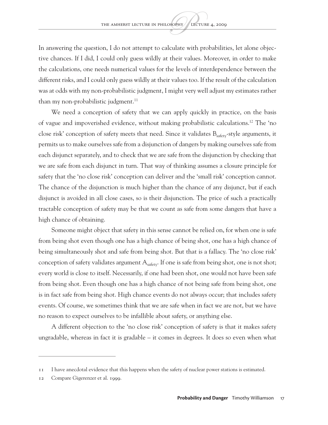In answering the question, I do not attempt to calculate with probabilities, let alone objective chances. If I did, I could only guess wildly at their values. Moreover, in order to make the calculations, one needs numerical values for the levels of interdependence between the different risks, and I could only guess wildly at their values too. If the result of the calculation was at odds with my non-probabilistic judgment, I might very well adjust my estimates rather than my non-probabilistic judgment.<sup>11</sup>

We need a conception of safety that we can apply quickly in practice, on the basis of vague and impoverished evidence, without making probabilistic calculations.12 The 'no close risk' conception of safety meets that need. Since it validates B<sub>safety</sub>-style arguments, it permits us to make ourselves safe from a disjunction of dangers by making ourselves safe from each disjunct separately, and to check that we are safe from the disjunction by checking that we are safe from each disjunct in turn. That way of thinking assumes a closure principle for safety that the 'no close risk' conception can deliver and the 'small risk' conception cannot. The chance of the disjunction is much higher than the chance of any disjunct, but if each disjunct is avoided in all close cases, so is their disjunction. The price of such a practically tractable conception of safety may be that we count as safe from some dangers that have a high chance of obtaining.

Someone might object that safety in this sense cannot be relied on, for when one is safe from being shot even though one has a high chance of being shot, one has a high chance of being simultaneously shot and safe from being shot. But that is a fallacy. The 'no close risk' conception of safety validates argument  $A_{\text{safe}}$ . If one is safe from being shot, one is not shot; every world is close to itself. Necessarily, if one had been shot, one would not have been safe from being shot. Even though one has a high chance of not being safe from being shot, one is in fact safe from being shot. High chance events do not always occur; that includes safety events. Of course, we sometimes think that we are safe when in fact we are not, but we have no reason to expect ourselves to be infallible about safety, or anything else.

A different objection to the 'no close risk' conception of safety is that it makes safety ungradable, whereas in fact it is gradable – it comes in degrees. It does so even when what

<sup>11</sup> I have anecdotal evidence that this happens when the safety of nuclear power stations is estimated.

<sup>12</sup> Compare Gigerenzer et al. 1999.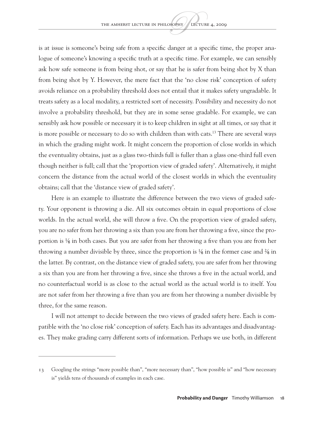is at issue is someone's being safe from a specific danger at a specific time, the proper analogue of someone's knowing a specific truth at a specific time. For example, we can sensibly ask how safe someone is from being shot, or say that he is safer from being shot by X than from being shot by Y. However, the mere fact that the 'no close risk' conception of safety avoids reliance on a probability threshold does not entail that it makes safety ungradable. It treats safety as a local modality, a restricted sort of necessity. Possibility and necessity do not involve a probability threshold, but they are in some sense gradable. For example, we can sensibly ask how possible or necessary it is to keep children in sight at all times, or say that it is more possible or necessary to do so with children than with cats.<sup>13</sup> There are several ways in which the grading might work. It might concern the proportion of close worlds in which the eventuality obtains, just as a glass two-thirds full is fuller than a glass one-third full even though neither is full; call that the 'proportion view of graded safety'. Alternatively, it might concern the distance from the actual world of the closest worlds in which the eventuality obtains; call that the 'distance view of graded safety'.

Here is an example to illustrate the difference between the two views of graded safety. Your opponent is throwing a die. All six outcomes obtain in equal proportions of close worlds. In the actual world, she will throw a five. On the proportion view of graded safety, you are no safer from her throwing a six than you are from her throwing a five, since the proportion is  $\frac{1}{6}$  in both cases. But you are safer from her throwing a five than you are from her throwing a number divisible by three, since the proportion is  $\frac{1}{6}$  in the former case and  $\frac{2}{6}$  in the latter. By contrast, on the distance view of graded safety, you are safer from her throwing a six than you are from her throwing a five, since she throws a five in the actual world, and no counterfactual world is as close to the actual world as the actual world is to itself. You are not safer from her throwing a five than you are from her throwing a number divisible by three, for the same reason.

I will not attempt to decide between the two views of graded safety here. Each is compatible with the 'no close risk' conception of safety. Each has its advantages and disadvantages. They make grading carry different sorts of information. Perhaps we use both, in different

<sup>13</sup> Googling the strings "more possible than", "more necessary than", "how possible is" and "how necessary is" yields tens of thousands of examples in each case.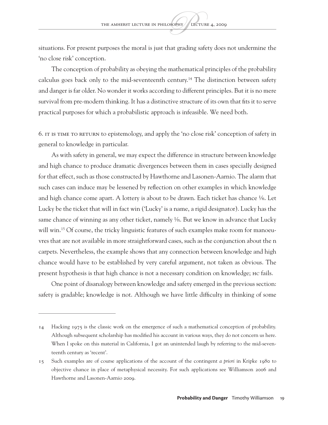situations. For present purposes the moral is just that grading safety does not undermine the 'no close risk' conception.

The conception of probability as obeying the mathematical principles of the probability calculus goes back only to the mid-seventeenth century.14 The distinction between safety and danger is far older. No wonder it works according to different principles. But it is no mere survival from pre-modern thinking. It has a distinctive structure of its own that fits it to serve practical purposes for which a probabilistic approach is infeasible. We need both.

6. It is time to return to epistemology, and apply the 'no close risk' conception of safety in general to knowledge in particular.

As with safety in general, we may expect the difference in structure between knowledge and high chance to produce dramatic divergences between them in cases specially designed for that effect, such as those constructed by Hawthorne and Lasonen-Aarnio. The alarm that such cases can induce may be lessened by reflection on other examples in which knowledge and high chance come apart. A lottery is about to be drawn. Each ticket has chance  $\frac{1}{n}$ . Let Lucky be the ticket that will in fact win ('Lucky' is a name, a rigid designator). Lucky has the same chance of winning as any other ticket, namely  $\frac{1}{n}$ . But we know in advance that Lucky will win.<sup>15</sup> Of course, the tricky linguistic features of such examples make room for manoeuvres that are not available in more straightforward cases, such as the conjunction about the n carpets. Nevertheless, the example shows that any connection between knowledge and high chance would have to be established by very careful argument, not taken as obvious. The present hypothesis is that high chance is not a necessary condition on knowledge; HC fails.

One point of disanalogy between knowledge and safety emerged in the previous section: safety is gradable; knowledge is not. Although we have little difficulty in thinking of some

<sup>14</sup> Hacking 1975 is the classic work on the emergence of such a mathematical conception of probability. Although subsequent scholarship has modified his account in various ways, they do not concern us here. When I spoke on this material in California, I got an unintended laugh by referring to the mid-seventeenth century as 'recent'.

<sup>15</sup> Such examples are of course applications of the account of the contingent *a priori* in Kripke 1980 to objective chance in place of metaphysical necessity. For such applications see Williamson 2006 and Hawthorne and Lasonen-Aarnio 2009.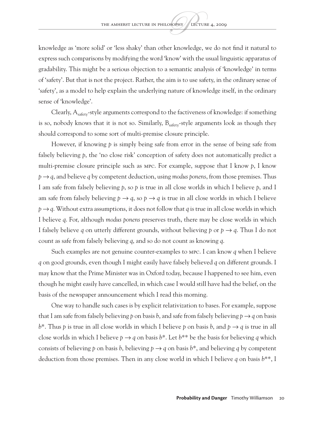knowledge as 'more solid' or 'less shaky' than other knowledge, we do not find it natural to express such comparisons by modifying the word 'know' with the usual linguistic apparatus of gradability. This might be a serious objection to a semantic analysis of 'knowledge' in terms of 'safety'. But that is not the project. Rather, the aim is to use safety, in the ordinary sense of 'safety', as a model to help explain the underlying nature of knowledge itself, in the ordinary sense of 'knowledge'.

Clearly,  $A_{\text{safe}}$ -style arguments correspond to the factiveness of knowledge: if something is so, nobody knows that it is not so. Similarly,  $B_{\text{safety}}$ -style arguments look as though they should correspond to some sort of multi-premise closure principle.

However, if knowing *p* is simply being safe from error in the sense of being safe from falsely believing p, the 'no close risk' conception of safety does not automatically predict a multi-premise closure principle such as MPC. For example, suppose that I know *p*, I know *p* → *q*, and believe *q* by competent deduction, using *modus ponens*, from those premises. Thus I am safe from falsely believing *p*, so *p* is true in all close worlds in which I believe *p*, and I am safe from falsely believing  $p \rightarrow q$ , so  $p \rightarrow q$  is true in all close worlds in which I believe *p* → *q*. Without extra assumptions, it does not follow that *q* is true in all close worlds in which I believe *q*. For, although *modus ponens* preserves truth, there may be close worlds in which I falsely believe *q* on utterly different grounds, without believing *p* or *p*  $\rightarrow$  *q*. Thus I do not count as safe from falsely believing *q*, and so do not count as knowing *q*.

Such examples are not genuine counter-examples to MPC. I can know *q* when I believe *q* on good grounds, even though I might easily have falsely believed *q* on different grounds. I may know that the Prime Minister was in Oxford today, because I happened to see him, even though he might easily have cancelled, in which case I would still have had the belief, on the basis of the newspaper announcement which I read this morning.

One way to handle such cases is by explicit relativization to bases. For example, suppose that I am safe from falsely believing p on basis b, and safe from falsely believing  $p \rightarrow q$  on basis *b*\*. Thus *p* is true in all close worlds in which I believe *p* on basis *b*, and  $p \rightarrow q$  is true in all close worlds in which I believe  $p \rightarrow q$  on basis  $b^*$ . Let  $b^{**}$  be the basis for believing q which consists of believing p on basis b, believing  $p \rightarrow q$  on basis  $b^*$ , and believing q by competent deduction from those premises. Then in any close world in which I believe *q* on basis *b*\*\*, I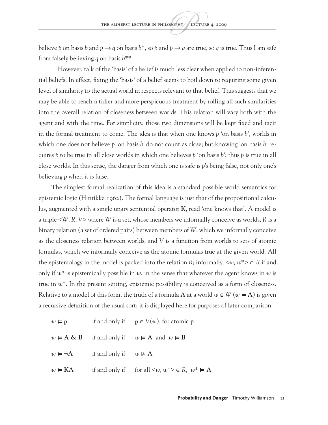believe p on basis b and  $p \rightarrow q$  on basis  $b^*$ , so p and  $p \rightarrow q$  are true, so q is true. Thus I am safe from falsely believing *q* on basis *b*\*\*.

However, talk of the 'basis' of a belief is much less clear when applied to non-inferential beliefs. In effect, fixing the 'basis' of a belief seems to boil down to requiring some given level of similarity to the actual world in respects relevant to that belief. This suggests that we may be able to reach a tidier and more perspicuous treatment by rolling all such similarities into the overall relation of closeness between worlds. This relation will vary both with the agent and with the time. For simplicity, those two dimensions will be kept fixed and tacit in the formal treatment to come. The idea is that when one knows *p* 'on basis *b*', worlds in which one does not believe *p* 'on basis *b*' do not count as close; but knowing 'on basis *b*' requires *p* to be true in all close worlds in which one believes *p* 'on basis *b*'; thus *p* is true in all close worlds. In this sense, the danger from which one is safe is *p*'s being false, not only one's believing *p* when it is false.

The simplest formal realization of this idea is a standard possible world semantics for epistemic logic (Hintikka 1962). The formal language is just that of the propositional calculus, augmented with a single unary sentential operator **K**, read 'one knows that'. A model is a triple <*W*, *R*, *V*> where *W* is a set, whose members we informally conceive as worlds, *R* is a binary relation (a set of ordered pairs) between members of *W*, which we informally conceive as the closeness relation between worlds, and *V* is a function from worlds to sets of atomic formulas, which we informally conceive as the atomic formulas true at the given world. All the epistemology in the model is packed into the relation *R*; informally,  $\langle w, w^* \rangle \in R$  if and only if *w*\* is epistemically possible in *w*, in the sense that whatever the agent knows in *w* is true in *w*\*. In the present setting, epistemic possibility is conceived as a form of closeness. Relative to a model of this form, the truth of a formula **A** at a world  $w \in W$  ( $w \in A$ ) is given a recursive definition of the usual sort; it is displayed here for purposes of later comparison:

 $w \models p$  if and only if  $p \in V(w)$ , for atomic p *w* ⊨ **A & B** if and only if *w* ⊨ **A** and *w* ⊨ **B**  $w$  **⊨**  $\neg$ **A** if and only if  $w \neq A$  $w \in KA$  if and only if for all  $\langle w, w^* \rangle \in R$ ,  $w^* \in A$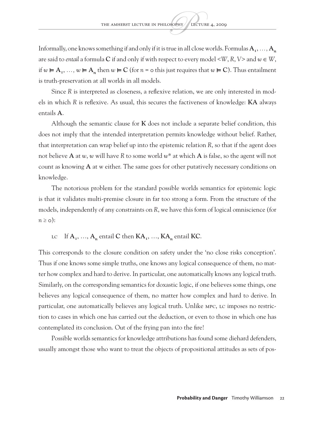Informally, one knows something if and only if it is true in all close worlds. Formulas  $A_1, \ldots, A_n$ are said to *entail* a formula **C** if and only if with respect to every model  $\langle W, R, V \rangle$  and  $w \in W$ , if *w* ⊨  $A_1$ , …, *w* ⊨  $A_n$  then *w* ⊨  $C$  (for *n* = 0 this just requires that *w* ⊨  $C$ ). Thus entailment is truth-preservation at all worlds in all models.

Since *R* is interpreted as closeness, a reflexive relation, we are only interested in models in which *R* is reflexive. As usual, this secures the factiveness of knowledge: **KA** always entails **A**.

Although the semantic clause for **K** does not include a separate belief condition, this does not imply that the intended interpretation permits knowledge without belief. Rather, that interpretation can wrap belief up into the epistemic relation *R*, so that if the agent does not believe **A** at *w*, *w* will have *R* to some world *w*\* at which **A** is false, so the agent will not count as knowing **A** at w either. The same goes for other putatively necessary conditions on knowledge.

The notorious problem for the standard possible worlds semantics for epistemic logic is that it validates multi-premise closure in far too strong a form. From the structure of the models, independently of any constraints on *R*, we have this form of logical omniscience (for  $n \geq o$ :

LC If  $A_1$ , …,  $A_n$  entail **C** then  $KA_1$ , …,  $KA_n$  entail **KC**.

This corresponds to the closure condition on safety under the 'no close risks conception'. Thus if one knows some simple truths, one knows any logical consequence of them, no matter how complex and hard to derive. In particular, one automatically knows any logical truth. Similarly, on the corresponding semantics for doxastic logic, if one believes some things, one believes any logical consequence of them, no matter how complex and hard to derive. In particular, one automatically believes any logical truth. Unlike MPC, LC imposes no restriction to cases in which one has carried out the deduction, or even to those in which one has contemplated its conclusion. Out of the frying pan into the fire!

Possible worlds semantics for knowledge attributions has found some diehard defenders, usually amongst those who want to treat the objects of propositional attitudes as sets of pos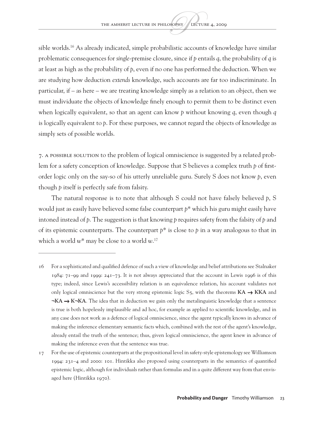sible worlds.<sup>16</sup> As already indicated, simple probabilistic accounts of knowledge have similar problematic consequences for *single*-premise closure, since if *p* entails *q*, the probability of *q* is at least as high as the probability of *p*, even if no one has performed the deduction. When we are studying how deduction *extends* knowledge, such accounts are far too indiscriminate. In particular, if – as here – we are treating knowledge simply as a relation to an object, then we must individuate the objects of knowledge finely enough to permit them to be distinct even when logically equivalent, so that an agent can know *p* without knowing *q*, even though *q* is logically equivalent to *p*. For these purposes, we cannot regard the objects of knowledge as simply sets of possible worlds.

7. A possible solution to the problem of logical omniscience is suggested by a related problem for a safety conception of knowledge. Suppose that S believes a complex truth *p* of firstorder logic only on the say-so of his utterly unreliable guru. Surely S does not know *p*, even though *p* itself is perfectly safe from falsity.

The natural response is to note that although S could not have falsely believed *p*, S would just as easily have believed some false counterpart *p*\* which his guru might easily have intoned instead of *p*. The suggestion is that knowing *p* requires safety from the falsity of *p* and of its epistemic counterparts. The counterpart *p*\* is close to *p* in a way analogous to that in which a world *w*\* may be close to a world *w*. 17

<sup>16</sup> For a sophisticated and qualified defence of such a view of knowledge and belief attributions see Stalnaker 1984: 71–99 and 1999: 241–73. It is not always appreciated that the account in Lewis 1996 is of this type; indeed, since Lewis's accessibility relation is an equivalence relation, his account validates not only logical omniscience but the very strong epistemic logic  $S_5$ , with the theorems  $KA \rightarrow KKA$  and **¬KA** → **K¬KA**. The idea that in deduction we gain only the metalinguistic knowledge that a sentence is true is both hopelessly implausible and ad hoc, for example as applied to scientific knowledge, and in any case does not work as a defence of logical omniscience, since the agent typically knows in advance of making the inference elementary semantic facts which, combined with the rest of the agent's knowledge, already entail the truth of the sentence; thus, given logical omniscience, the agent knew in advance of making the inference even that the sentence was true.

<sup>17</sup> For the use of epistemic counterparts at the propositional level in safety-style epistemology see Williamson 1994: 231–4 and 2000: 101. Hintikka also proposed using counterparts in the semantics of quantified epistemic logic, although for individuals rather than formulas and in a quite different way from that envisaged here (Hintikka 1970).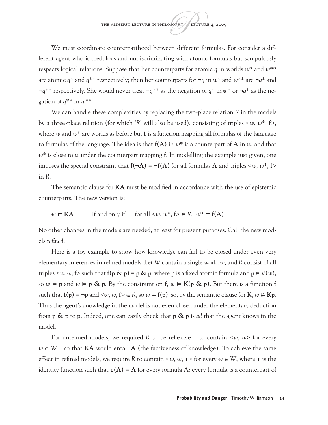We must coordinate counterparthood between different formulas. For consider a different agent who is credulous and undiscriminating with atomic formulas but scrupulously respects logical relations. Suppose that her counterparts for atomic *q* in worlds *w*\* and *w*\*\* are atomic *q*\* and *q*\*\* respectively; then her counterparts for ¬*q* in *w*\* and *w*\*\* are ¬*q*\* and ¬*q*\*\* respectively. She would never treat ¬*q*\*\* as the negation of *q*\* in *w*\* or ¬*q*\* as the negation of  $q^{**}$  in  $w^{**}$ .

We can handle these complexities by replacing the two-place relation *R* in the models by a three-place relation (for which '*R*' will also be used), consisting of triples <*w*, *w\**, **f**>, where *w* and *w*\* are worlds as before but **f** is a function mapping all formulas of the language to formulas of the language. The idea is that **f(A)** in *w*\* is a counterpart of **A** in *w*, and that *w*\* is close to *w* under the counterpart mapping **f**. In modelling the example just given, one imposes the special constraint that  $f(\neg A) = \neg f(A)$  for all formulas A and triples  $\langle w, w^*, f \rangle$ in *R*.

The semantic clause for **KA** must be modified in accordance with the use of epistemic counterparts. The new version is:

$$
w \vDash KA
$$
 if and only if for all  $\langle w, w^*, f \rangle \in R$ ,  $w^* \vDash f(A)$ 

No other changes in the models are needed, at least for present purposes. Call the new models *refined*.

Here is a toy example to show how knowledge can fail to be closed under even very elementary inferences in refined models. Let *W* contain a single world *w*, and *R* consist of all triples  $\langle w, w, f \rangle$  such that  $f(p \& p) = p \& p$ , where p is a fixed atomic formula and  $p \in V(w)$ , so  $w \models p$  and  $w \models p \& p$ . By the constraint on  $f, w \models K(p \& p)$ . But there is a function f such that  $f(p) = \neg p$  and  $\langle w, w, f \rangle \in R$ , so  $w \neq f(p)$ , so, by the semantic clause for  $K, w \neq Kp$ . Thus the agent's knowledge in the model is not even closed under the elementary deduction from **p & p** to **p**. Indeed, one can easily check that **p & p** is *all* that the agent knows in the model.

For unrefined models, we required *R* to be reflexive – to contain <*w*, *w*> for every *w* ∈ *W* – so that **KA** would entail **A** (the factiveness of knowledge). To achieve the same effect in refined models, we require *R* to contain  $\langle w, w, \mathbf{1} \rangle$  for every  $w \in W$ , where **1** is the identity function such that  $\mathbf{1}(A) = A$  for every formula A: every formula is a counterpart of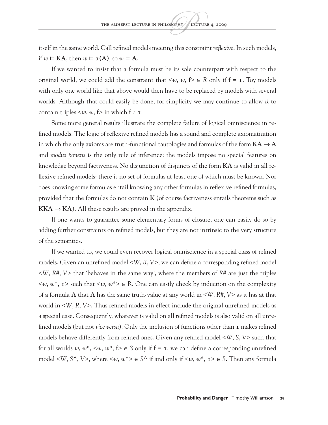itself in the same world. Call refined models meeting this constraint *reflexive*. In such models, if  $w \models KA$ , then  $w \models \mathbf{I}(A)$ , so  $w \models A$ .

If we wanted to insist that a formula must be its sole counterpart with respect to the original world, we could add the constraint that  $\langle w, w, f \rangle \in R$  only if  $f = I$ . Toy models with only one world like that above would then have to be replaced by models with several worlds. Although that could easily be done, for simplicity we may continue to allow *R* to contain triples  $\leq w$ ,  $w$ ,  $f$  in which  $f \neq r$ .

Some more general results illustrate the complete failure of logical omniscience in refined models. The logic of reflexive refined models has a sound and complete axiomatization in which the only axioms are truth-functional tautologies and formulas of the form  $KA \rightarrow A$ and *modus ponens* is the only rule of inference: the models impose no special features on knowledge beyond factiveness. No disjunction of disjuncts of the form **KA** is valid in all reflexive refined models: there is no set of formulas at least one of which must be known. Nor does knowing some formulas entail knowing any other formulas in reflexive refined formulas, provided that the formulas do not contain **K** (of course factiveness entails theorems such as **KKA**  $\rightarrow$  **KA**). All these results are proved in the appendix.

If one wants to guarantee some elementary forms of closure, one can easily do so by adding further constraints on refined models, but they are not intrinsic to the very structure of the semantics.

If we wanted to, we could even recover logical omniscience in a special class of refined models. Given an unrefined model <*W*, *R*, *V*>, we can define a corresponding refined model <*W*, *R#*, *V*> that 'behaves in the same way', where the members of *R#* are just the triples  $\langle w, w^*, \mathbf{1} \rangle$  such that  $\langle w, w^* \rangle \in \mathbb{R}$ . One can easily check by induction on the complexity of a formula **A** that **A** has the same truth-value at any world in <*W*, *R#*, *V*> as it has at that world in <*W*, *R*, *V*>. Thus refined models in effect include the original unrefined models as a special case. Consequently, whatever is valid on all refined models is also valid on all unrefined models (but not *vice versa*). Only the inclusion of functions other than **1** makes refined models behave differently from refined ones. Given any refined model <*W*, *S*, *V*> such that for all worlds *w*, *w*<sup>\*</sup>,  $\leq w$ , *w*<sup>\*</sup>,  $f \geq \epsilon$  *S* only if  $f = r$ , we can define a corresponding unrefined model <*W*, *S*<sup> $\wedge$ </sup>, *V* $>$ , where <*w*, *w*<sup>\*</sup> $> \in$  *S*<sup> $\wedge$ </sup> if and only if <*w*, *w*<sup>\*</sup>, **1** $> \in$  *S*. Then any formula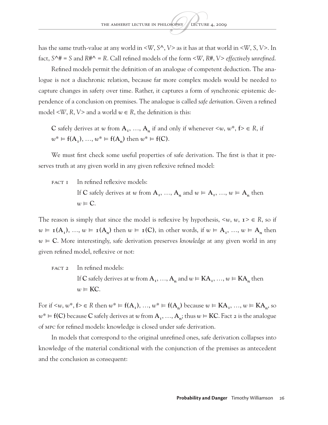has the same truth-value at any world in <*W*, *S^*, *V*> as it has at that world in <*W*, *S*, *V*>. In fact, *S^#* = *S* and *R#^* = *R*. Call refined models of the form <*W*, *R#*, *V*> *effectively unrefined*.

Refined models permit the definition of an analogue of competent deduction. The analogue is not a diachronic relation, because far more complex models would be needed to capture changes in safety over time. Rather, it captures a form of synchronic epistemic dependence of a conclusion on premises. The analogue is called *safe derivation*. Given a refined model  $\langle W, R, V \rangle$  and a world  $w \in R$ , the definition is this:

**C** safely derives at *w* from  $A_1$ , …,  $A_n$  if and only if whenever  $\leq w$ ,  $w^*$ ,  $f \geq \in R$ , if  $w^* \vDash f(A_1), ..., w^* \vDash f(A_n)$  then  $w^* \vDash f(C)$ .

We must first check some useful properties of safe derivation. The first is that it preserves truth at any given world in any given reflexive refined model:

FACT I In refined reflexive models:  
\nIf C safely derives at w from 
$$
A_1, ..., A_n
$$
 and  $w \models A_1, ..., w \models A_n$  then  
\n $w \models C$ .

The reason is simply that since the model is reflexive by hypothesis,  $\langle w, w, z \rangle \in R$ , so if  $w \in \mathbf{I}(A_1), \ldots, w \in \mathbf{I}(A_n)$  then  $w \in \mathbf{I}(C)$ , in other words, if  $w \in A_1, \ldots, w \in A_n$  then *w* ⊨ **C**. More interestingly, safe derivation preserves *knowledge* at any given world in any given refined model, reflexive or not:

FACT 2 In refined models: If C safely derives at *w* from  $A_1$ , …,  $A_n$  and  $w \in KA_1$ , …,  $w \in KA_n$  then  $w \in \text{KC}$ .

For if  $\leq w, w^*, f \geq \in R$  then  $w^* \in f(A_1), \ldots, w^* \in f(A_n)$  because  $w \in KA_1, \ldots, w \in KA_n$ , so  $w^* \vDash f(C)$  because C safely derives at *w* from  $A_1, ..., A_n$ ; thus  $w \vDash KC$ . Fact 2 is the analogue of MPC for refined models: knowledge is closed under safe derivation.

In models that correspond to the original unrefined ones, safe derivation collapses into knowledge of the material conditional with the conjunction of the premises as antecedent and the conclusion as consequent: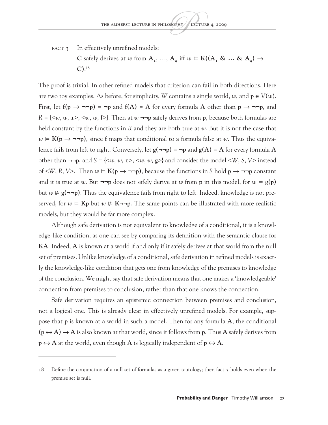FACT 3 In effectively unrefined models: **C** safely derives at *w* from  $A_1$ , …,  $A_n$  iff  $w \in K((A_1 \& ... \& A_n) \rightarrow$ **C)**. 18

The proof is trivial. In other refined models that criterion can fail in both directions. Here are two toy examples. As before, for simplicity, *W* contains a single world, *w*, and  $p \in V(w)$ . First, let **f(p** → **¬¬p)** = **¬p** and **f(A)** = **A** for every formula **A** other than **p** → **¬¬p**, and *R* = {<*w*, *w*, **1**>, <*w*, *w*, **f**>}. Then at *w* **¬¬p** safely derives from **p**, because both formulas are held constant by the functions in *R* and they are both true at *w*. But it is not the case that *w* ⊨ **K(p** → **¬¬p)**, since **f** maps that conditional to a formula false at *w*. Thus the equivalence fails from left to right. Conversely, let **g(¬¬p)** = **¬p** and **g(A)** = **A** for every formula **A** other than **¬¬p**, and *S* = {<*w*, *w*, **1**>, <*w*, *w*, **g**>} and consider the model <*W*, *S*, *V*> instead of <*W*, *R*, *V*>. Then *w* ⊨ **K(p** → **¬¬p)**, because the functions in *S* hold **p** → **¬¬p** constant and it is true at *w*. But **¬¬p** does not safely derive at *w* from **p** in this model, for *w* ⊨ **g(p)** but *w* ⊭ **g(¬¬p)**. Thus the equivalence fails from right to left. Indeed, knowledge is not preserved, for  $w$  ⊨ **Kp** but  $w \neq K\rightarrow p$ . The same points can be illustrated with more realistic models, but they would be far more complex.

Although safe derivation is not equivalent to knowledge of a conditional, it is a knowledge-like condition, as one can see by comparing its definition with the semantic clause for **KA**. Indeed, **A** is known at a world if and only if it safely derives at that world from the null set of premises. Unlike knowledge of a conditional, safe derivation in refined models is exactly the knowledge-like condition that gets one from knowledge of the premises to knowledge of the conclusion. We might say that safe derivation means that one makes a 'knowledgeable' connection from premises to conclusion, rather than that one knows the connection.

Safe derivation requires an epistemic connection between premises and conclusion, not a logical one. This is already clear in effectively unrefined models. For example, suppose that **p** is known at a world in such a model. Then for any formula **A**, the conditional  $(p \leftrightarrow A) \rightarrow A$  is also known at that world, since it follows from **p**. Thus **A** safely derives from  $p \leftrightarrow A$  at the world, even though A is logically independent of  $p \leftrightarrow A$ .

<sup>18</sup> Define the conjunction of a null set of formulas as a given tautology; then fact 3 holds even when the premise set is null.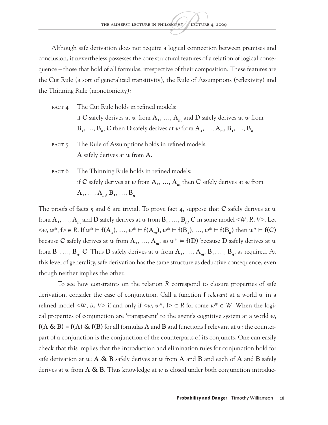Although safe derivation does not require a logical connection between premises and conclusion, it nevertheless possesses the core structural features of a relation of logical consequence – those that hold of all formulas, irrespective of their composition. These features are the Cut Rule (a sort of generalized transitivity), the Rule of Assumptions (reflexivity) and the Thinning Rule (monotonicity):

- FACT 4 The Cut Rule holds in refined models: if C safely derives at *w* from  $A_1$ , ...,  $A_m$  and D safely derives at *w* from  $B_1, \ldots, B_n, C$  then  $D$  safely derives at  $w$  from  $A_1, \ldots, A_m, B_1, \ldots, B_n$ .
- FACT 5 The Rule of Assumptions holds in refined models: **A** safely derives at *w* from **A**.
- FACT 6 The Thinning Rule holds in refined models: if **C** safely derives at *w* from  $A_1$ , ...,  $A_m$  then **C** safely derives at *w* from  $A_1, \ldots, A_m, B_1, \ldots, B_n.$

The proofs of facts 5 and 6 are trivial. To prove fact 4, suppose that **C** safely derives at *w* from  $A_1, \ldots, A_m$  and  $D$  safely derives at  $w$  from  $B_1, \ldots, B_n, C$  in some model <*W*, *R*, *V*>. Let  $\langle w, w^*, f \rangle \in R$ . If  $w^* \models f(A_1), \ldots, w^* \models f(A_m), w^* \models f(B_1), \ldots, w^* \models f(B_n)$  then  $w^* \models f(C)$ because **C** safely derives at *w* from  $A_1$ , …,  $A_m$ , so  $w^* \models f(D)$  because **D** safely derives at *w* from  $B_1$ , …,  $B_n$ , C. Thus D safely derives at *w* from  $A_1$ , …,  $A_m$ ,  $B_1$ , …,  $B_n$ , as required. At this level of generality, safe derivation has the same structure as deductive consequence, even though neither implies the other.

To see how constraints on the relation *R* correspond to closure properties of safe derivation, consider the case of conjunction. Call a function **f** *relevant* at a world *w* in a refined model <*W*, *R*, *V*> if and only if <*w*, *w*\*,  $f$ >  $\in$  *R* for some  $w^* \in W$ . When the logical properties of conjunction are 'transparent' to the agent's cognitive system at a world *w*,  $f(A \& B) = f(A) \& f(B)$  for all formulas A and B and functions f relevant at *w*: the counterpart of a conjunction is the conjunction of the counterparts of its conjuncts. One can easily check that this implies that the introduction and elimination rules for conjunction hold for safe derivation at *w*: **A & B** safely derives at *w* from **A** and **B** and each of **A** and **B** safely derives at *w* from **A & B**. Thus knowledge at *w* is closed under both conjunction introduc-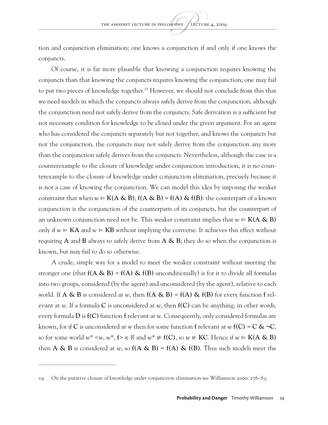tion and conjunction elimination; one knows a conjunction if and only if one knows the conjuncts.

Of course, it is far more plausible that knowing a conjunction requires knowing the conjuncts than that knowing the conjuncts requires knowing the conjunction; one may fail to put two pieces of knowledge together.<sup>19</sup> However, we should not conclude from this that we need models in which the conjuncts always safely derive from the conjunction, although the conjunction need not safely derive from the conjuncts. Safe derivation is a sufficient but not necessary condition for knowledge to be closed under the given argument. For an agent who has considered the conjuncts separately but not together, and knows the conjuncts but not the conjunction, the conjuncts may not safely derive from the conjunction any more than the conjunction safely derives from the conjuncts. Nevertheless, although the case is a counterexample to the closure of knowledge under conjunction introduction, it is no counterexample to the closure of knowledge under conjunction elimination, precisely because it is not a case of knowing the conjunction. We can model this idea by imposing the weaker constraint that when  $w \in K(A \& B)$ ,  $f(A \& B) = f(A) \& f(B)$ : the counterpart of a known conjunction is the conjunction of the counterparts of its conjuncts, but the counterpart of an unknown conjunction need not be. This weaker constraint implies that  $w \in K(A \& B)$ only if  $w \in KA$  and  $w \in KB$  without implying the converse. It achieves this effect without requiring **A** and **B** always to safely derive from **A & B**; they do so when the conjunction is known, but may fail to do so otherwise.

A crude, simple way for a model to meet the weaker constraint without meeting the stronger one (that  $f(A \& B) = f(A) \& f(B)$  unconditionally) is for it to divide all formulas into two groups, considered (by the agent) and unconsidered (by the agent), relative to each world. If  $A \& B$  is considered at *w*, then  $f(A \& B) = f(A) \& f(B)$  for every function f relevant at *w*. If a formula **C** is unconsidered at *w*, then **f(C)** can be anything, in other words, every formula **D** is **f(C)** function **f** relevant at *w*. Consequently, only considered formulas are known, for if **C** is unconsidered at w then for some function **f** relevant at *w* **f(C)** = **C & ¬C**, so for some world  $w^* \leq w$ ,  $w^*$ ,  $f \geq \in R$  and  $w^* \neq f(C)$ , so  $w \neq KC$ . Hence if  $w \in K(A \& B)$ then  $A \& B$  is considered at  $w$ , so  $f(A \& B) = f(A) \& f(B)$ . Thus such models meet the

<sup>19</sup> On the putative closure of knowledge under conjunction elimination see Williamson 2000: 276–83.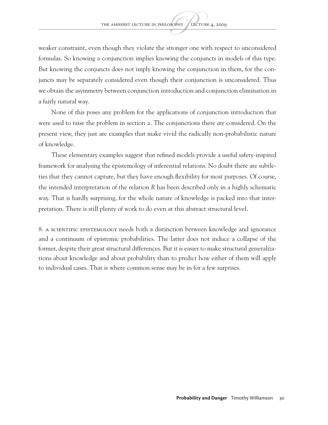weaker constraint, even though they violate the stronger one with respect to unconsidered formulas. So knowing a conjunction implies knowing the conjuncts in models of this type. But knowing the conjuncts does not imply knowing the conjunction in them, for the conjuncts may be separately considered even though their conjunction is unconsidered. Thus we obtain the asymmetry between conjunction introduction and conjunction elimination in a fairly natural way.

None of this poses any problem for the applications of conjunction introduction that were used to raise the problem in section 2. The conjunctions there *are* considered. On the present view, they just are examples that make vivid the radically non-probabilistic nature of knowledge.

These elementary examples suggest that refined models provide a useful safety-inspired framework for analysing the epistemology of inferential relations. No doubt there are subtleties that they cannot capture, but they have enough flexibility for most purposes. Of course, the intended interpretation of the relation *R* has been described only in a highly schematic way. That is hardly surprising, for the whole nature of knowledge is packed into that interpretation. There is still plenty of work to do even at this abstract structural level.

8. A scientific epistemology needs both a distinction between knowledge and ignorance and a continuum of epistemic probabilities. The latter does not induce a collapse of the former, despite their great structural differences. But it is easier to make structural generalizations about knowledge and about probability than to predict how either of them will apply to individual cases. That is where common sense may be in for a few surprises.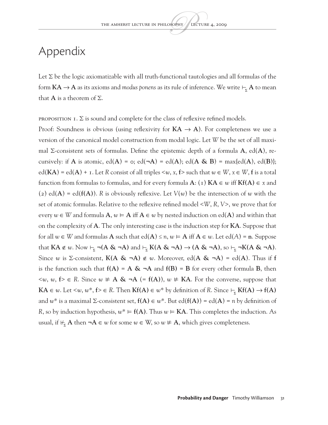### Appendix

Let  $\Sigma$  be the logic axiomatizable with all truth-functional tautologies and all formulas of the form  $KA \rightarrow A$  as its axioms and *modus ponens* as its rule of inference. We write  $\vdash_{\Sigma} A$  to mean that **A** is a theorem of  $\Sigma$ .

PROPOSITION 1.  $\Sigma$  is sound and complete for the class of reflexive refined models.

Proof: Soundness is obvious (using reflexivity for  $KA \rightarrow A$ ). For completeness we use a version of the canonical model construction from modal logic. Let *W* be the set of all maximal Σ-consistent sets of formulas. Define the epistemic depth of a formula **A**, ed(**A**), recursively: if **A** is atomic,  $ed(A) = o$ ;  $ed(\neg A) = ed(A)$ ;  $ed(A \& B) = max\{ed(A), ed(B)\}$ ;  $ed(KA) = ed(A) + I$ . Let R consist of all triples  $\leq w, x, f$  such that  $w \in W, x \in W, f$  is a total function from formulas to formulas, and for every formula  $A: (1)$   $KA \in w$  iff  $Kf(A) \in x$  and (2) ed( $A$ ) = ed( $f(A)$ ). *R* is obviously reflexive. Let  $V(w)$  be the intersection of *w* with the set of atomic formulas. Relative to the reflexive refined model <*W*, *R*, *V*>, we prove that for every  $w \in W$  and formula  $A, w \models A$  iff  $A \in w$  by nested induction on ed(A) and within that on the complexity of **A**. The only interesting case is the induction step for **KA**. Suppose that for all  $w \in W$  and formulas **A** such that  $ed(A) \le n$ ,  $w \in A$  iff  $A \in w$ . Let  $ed(A) = n$ . Suppose that  $KA \notin w$ . Now  $\vdash_{\Sigma} \neg(A \& \neg A)$  and  $\vdash_{\Sigma} K(A \& \neg A) \rightarrow (A \& \neg A)$ , so  $\vdash_{\Sigma} \neg K(A \& \neg A)$ . Since *w* is Σ-consistent,  $K(A \& \neg A) \notin w$ . Moreover, ed( $A \& \neg A$ ) = ed( $A$ ). Thus if f is the function such that  $f(A) = A \& \neg A$  and  $f(B) = B$  for every other formula **B**, then <*w*, *w*, **f**> ∈ *R*. Since *w* ⊭ **A & ¬A** (= **f(A)**), *w* ⊭ **KA**. For the converse, suppose that **KA** ∈ *w*. Let <*w*, *w*<sup>\*</sup>, **f**> ∈ *R*. Then **Kf(A)** ∈ *w*<sup>\*</sup> by definition of *R*. Since  $\vdash_{\Sigma}$  **Kf(A)** → **f(A)** and  $w^*$  is a maximal  $\Sigma$ -consistent set,  $f(A) \in w^*$ . But  $ed(f(A)) = ed(A) = n$  by definition of *R*, so by induction hypothesis,  $w^* \in f(A)$ . Thus  $w \in KA$ . This completes the induction. As usual, if  $\nvdash_{\mathbf{x}} \mathbf{A}$  then  $\neg \mathbf{A} \in \mathbf{w}$  for some  $\mathbf{w} \in \mathbf{W}$ , so  $\mathbf{w} \neq \mathbf{A}$ , which gives completeness.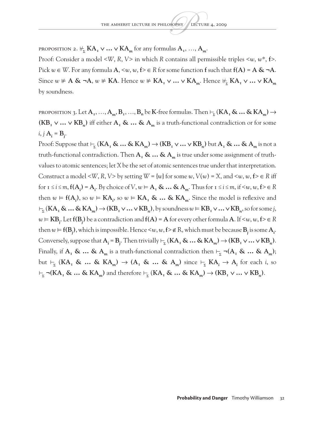PROPOSITION 2.  $\forall_{\overline{x}}$  **KA**<sub>*I*</sub>  $\vee \dots \vee$  **KA**<sub>*m*</sub> for any formulas  $A_1$ , …,  $A_m$ .

Proof: Consider a model <*W*, *R*, *V*> in which *R* contains all permissible triples <*w*, *w*\*, **f**>. Pick *w* ∈*W*. For any formula **A**, <*w*, *w*, **f**> ∈*R* for some function **f** such that **f(A)** = **A & ¬A**. Since  $w \neq A$  & ¬A,  $w \neq KA$ . Hence  $w \neq KA$ <sub>r</sub> ∨  $\ldots$  ∨  $KA$ <sub>*m*</sub>. Hence  $\forall_{\Sigma} KA$ <sub>r</sub> ∨  $\ldots$  ∨  $KA$ <sub>*m*</sub> by soundness.

PROPOSITION 3. Let  $A_1, ..., A_m, B_1, ..., B_n$  be K-free formulas. Then  $\vdash_{\Sigma} (KA_1 \& \dots \& KA_m) \rightarrow$  $(KB<sub>1</sub> ∨ … ∨ KB<sub>n</sub>)$  iff either  $A<sub>1</sub>$  & … &  $A<sub>m</sub>$  is a truth-functional contradiction or for some  $i, j$   $A_i = B_j$ .

Proof: Suppose that  $\vdash_{\Sigma}$  (KA<sub>1</sub> & … & KA<sub>*m*</sub>)  $\rightarrow$  (KB<sub>1</sub>  $\vee$  …  $\vee$  KB<sub>*n*</sub></sub>) but  $A_1$  & … &  $A_m$  is not a truth-functional contradiction. Then  $A_1 \& \dots \& A_m$  is true under some assignment of truthvalues to atomic sentences; let *X* be the set of atomic sentences true under that interpretation. Construct a model <*W*, *R*, *V*> by setting  $W = \{w\}$  for some  $w$ ,  $V(w) = X$ , and  $\langle w, w, f \rangle \in R$  iff for  $i \leq i \leq m$ ,  $f(A_i) = A_i$ . By choice of  $V, w \models A_i \& \dots \& A_m$ . Thus for  $i \leq i \leq m$ , if  $\leq w, w, f \geq \in R$ then  $w \in f(A_i)$ , so  $w \in KA_i$ , so  $w \in KA_i$  & ... &  $KA_m$ . Since the model is reflexive and  $\vdash_{\Sigma}$  (**KA**<sub>1</sub> & … & **KA**<sub>*m*</sub>)  $\rightarrow$  (**KB**<sub>1</sub>  $\vee$  …  $\vee$  **KB**<sub>*n</sub>*), by soundness  $w \vDash$  **KB**<sub>1</sub>  $\vee$  …  $\vee$  **KB**<sub>*n*</sub>, so for some *j*,</sub>  $w \in KB_j$ . Let  $f(B_j)$  be a contradiction and  $f(A) = A$  for every other formula  $A$ . If  $\leq w, w, f \geq \in R$ then  $w \in f(B_j)$ , which is impossible. Hence <w, w,  $f > \notin R$ , which must be because  $B_j$  is some  $A_i$ . Conversely, suppose that  $A_i = B_j$ . Then trivially  $\vdash_{\Sigma} (KA_{\tau} \& \dots \& KA_m) \rightarrow (KB_{\tau} \vee \dots \vee KB_n)$ . Finally, if  $A_1 \& \dots \& A_m$  is a truth-functional contradiction then  $\vdash_{\Sigma} \neg(A_1 \& \dots \& A_m)$ ; but  $\vdash_{\Sigma}$  (KA<sub>1</sub> & … & KA<sub>*m*</sub>)  $\rightarrow$  (A<sub>1</sub> & … & A<sub>*m*</sub>) since  $\vdash_{\Sigma}$  KA<sub>*i*</sub>  $\rightarrow$  A<sub>*i*</sub> for each *i*, so  $\vdash_{\Sigma} \neg (KA_{\Gamma} \& ... \& KA_{m})$  and therefore  $\vdash_{\Sigma} (KA_{\Gamma} \& ... \& KA_{m}) \rightarrow (KB_{\Gamma} \vee ... \vee KB_{n}).$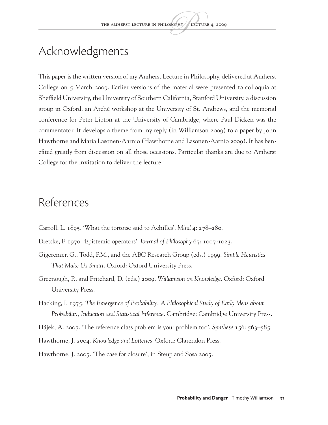# Acknowledgments

This paper is the written version of my Amherst Lecture in Philosophy, delivered at Amherst College on 5 March 2009. Earlier versions of the material were presented to colloquia at Sheffield University, the University of Southern California, Stanford University, a discussion group in Oxford, an Arché workshop at the University of St. Andrews, and the memorial conference for Peter Lipton at the University of Cambridge, where Paul Dicken was the commentator. It develops a theme from my reply (in Williamson 2009) to a paper by John Hawthorne and Maria Lasonen-Aarnio (Hawthorne and Lasonen-Aarnio 2009). It has benefited greatly from discussion on all those occasions. Particular thanks are due to Amherst College for the invitation to deliver the lecture.

#### References

- Carroll, L. 1895. 'What the tortoise said to Achilles'. *Mind* 4: 278–280.
- Dretske, F. 1970. 'Epistemic operators'. *Journal of Philosophy* 67: 1007-1023.
- Gigerenzer, G., Todd, P.M., and the ABC Research Group (eds.) 1999. *Simple Heuristics That Make Us Smart*. Oxford: Oxford University Press.
- Greenough, P., and Pritchard, D. (eds.) 2009. *Williamson on Knowledge*. Oxford: Oxford University Press.
- Hacking, I. 1975. *The Emergence of Probability: A Philosophical Study of Early Ideas about Probability, Induction and Statistical Inference*. Cambridge: Cambridge University Press.
- Hájek, A. 2007. 'The reference class problem is your problem too'. *Synthese* 156: 563–585.
- Hawthorne, J. 2004. *Knowledge and Lotteries*. Oxford: Clarendon Press.
- Hawthorne, J. 2005. 'The case for closure', in Steup and Sosa 2005.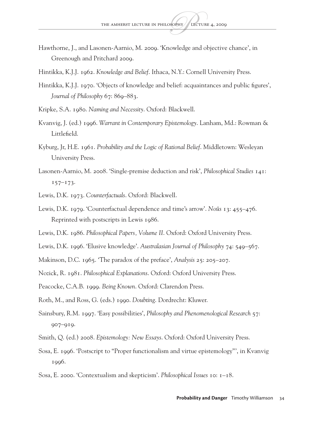- Hawthorne, J., and Lasonen-Aarnio, M. 2009. 'Knowledge and objective chance', in Greenough and Pritchard 2009.
- Hintikka, K.J.J. 1962. *Knowledge and Belief*. Ithaca, N.Y.: Cornell University Press.
- Hintikka, K.J.J. 1970. 'Objects of knowledge and belief: acquaintances and public figures', *Journal of Philosophy* 67: 869–883.
- Kripke, S.A. 1980. *Naming and Necessity*. Oxford: Blackwell.
- Kvanvig, J. (ed.) 1996. *Warrant in Contemporary Epistemology*. Lanham, Md.: Rowman & Littlefield.
- Kyburg, Jr, H.E. 1961. *Probability and the Logic of Rational Belief*. Middletown: Wesleyan University Press.
- Lasonen-Aarnio, M. 2008. 'Single-premise deduction and risk', *Philosophical Studies* 141: 157–173.
- Lewis, D.K. 1973. *Counterfactuals*. Oxford: Blackwell.
- Lewis, D.K. 1979. 'Counterfactual dependence and time's arrow'. *Noûs* 13: 455–476. Reprinted with postscripts in Lewis 1986.
- Lewis, D.K. 1986. *Philosophical Papers, Volume II*. Oxford: Oxford University Press.
- Lewis, D.K. 1996. 'Elusive knowledge'. *Australasian Journal of Philosophy* 74: 549–567.
- Makinson, D.C. 1965. 'The paradox of the preface', *Analysis* 25: 205–207.
- Nozick, R. 1981. *Philosophical Explanations*. Oxford: Oxford University Press.
- Peacocke, C.A.B. 1999. *Being Known*. Oxford: Clarendon Press.
- Roth, M., and Ross, G. (eds.) 1990. *Doubting*. Dordrecht: Kluwer.
- Sainsbury, R.M. 1997. 'Easy possibilities', *Philosophy and Phenomenological Research* 57: 907–919.
- Smith, Q. (ed.) 2008. *Epistemology: New Essays*. Oxford: Oxford University Press.
- Sosa, E. 1996. 'Postscript to "Proper functionalism and virtue epistemology"', in Kvanvig 1996.
- Sosa, E. 2000. 'Contextualism and skepticism'. *Philosophical Issues* 10: 1–18.